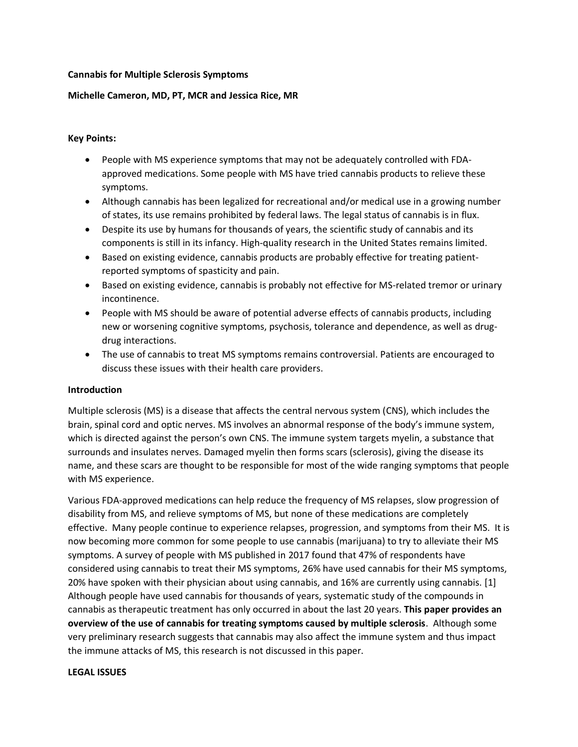#### **Cannabis for Multiple Sclerosis Symptoms**

### **Michelle Cameron, MD, PT, MCR and Jessica Rice, MR**

### **Key Points:**

- People with MS experience symptoms that may not be adequately controlled with FDAapproved medications. Some people with MS have tried cannabis products to relieve these symptoms.
- Although cannabis has been legalized for recreational and/or medical use in a growing number of states, its use remains prohibited by federal laws. The legal status of cannabis is in flux.
- Despite its use by humans for thousands of years, the scientific study of cannabis and its components is still in its infancy. High-quality research in the United States remains limited.
- Based on existing evidence, cannabis products are probably effective for treating patientreported symptoms of spasticity and pain.
- Based on existing evidence, cannabis is probably not effective for MS-related tremor or urinary incontinence.
- People with MS should be aware of potential adverse effects of cannabis products, including new or worsening cognitive symptoms, psychosis, tolerance and dependence, as well as drugdrug interactions.
- The use of cannabis to treat MS symptoms remains controversial. Patients are encouraged to discuss these issues with their health care providers.

#### **Introduction**

Multiple sclerosis (MS) is a disease that affects the central nervous system (CNS), which includes the brain, spinal cord and optic nerves. MS involves an abnormal response of the body's immune system, which is directed against the person's own CNS. The immune system targets myelin, a substance that surrounds and insulates nerves. Damaged myelin then forms scars (sclerosis), giving the disease its name, and these scars are thought to be responsible for most of the wide ranging symptoms that people with MS experience.

Various FDA-approved medications can help reduce the frequency of MS relapses, slow progression of disability from MS, and relieve symptoms of MS, but none of these medications are completely effective. Many people continue to experience relapses, progression, and symptoms from their MS. It is now becoming more common for some people to use cannabis (marijuana) to try to alleviate their MS symptoms. A survey of people with MS published in 2017 found that 47% of respondents have considered using cannabis to treat their MS symptoms, 26% have used cannabis for their MS symptoms, 20% have spoken with their physician about using cannabis, and 16% are currently using cannabis. [1] Although people have used cannabis for thousands of years, systematic study of the compounds in cannabis as therapeutic treatment has only occurred in about the last 20 years. **This paper provides an overview of the use of cannabis for treating symptoms caused by multiple sclerosis**. Although some very preliminary research suggests that cannabis may also affect the immune system and thus impact the immune attacks of MS, this research is not discussed in this paper.

#### **LEGAL ISSUES**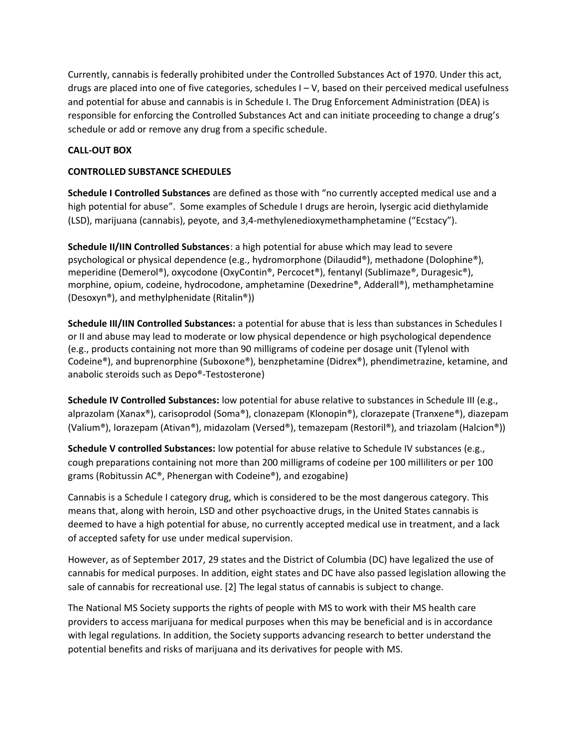Currently, cannabis is federally prohibited under the Controlled Substances Act of 1970. Under this act, drugs are placed into one of five categories, schedules I – V, based on their perceived medical usefulness and potential for abuse and cannabis is in Schedule I. The Drug Enforcement Administration (DEA) is responsible for enforcing the Controlled Substances Act and can initiate proceeding to change a drug's schedule or add or remove any drug from a specific schedule.

## **CALL-OUT BOX**

### **CONTROLLED SUBSTANCE SCHEDULES**

**Schedule I Controlled Substances** are defined as those with "no currently accepted medical use and a high potential for abuse". Some examples of Schedule I drugs are heroin, lysergic acid diethylamide (LSD), marijuana (cannabis), peyote, and 3,4-methylenedioxymethamphetamine ("Ecstacy").

**Schedule II/IIN Controlled Substances**: a high potential for abuse which may lead to severe psychological or physical dependence (e.g., hydromorphone (Dilaudid®), methadone (Dolophine®), meperidine (Demerol®), oxycodone (OxyContin®, Percocet®), fentanyl (Sublimaze®, Duragesic®), morphine, opium, codeine, hydrocodone, amphetamine (Dexedrine®, Adderall®), methamphetamine (Desoxyn®), and methylphenidate (Ritalin®))

**Schedule III/IIN Controlled Substances:** a potential for abuse that is less than substances in Schedules I or II and abuse may lead to moderate or low physical dependence or high psychological dependence (e.g., products containing not more than 90 milligrams of codeine per dosage unit (Tylenol with Codeine®), and buprenorphine (Suboxone®), benzphetamine (Didrex®), phendimetrazine, ketamine, and anabolic steroids such as Depo®-Testosterone)

**Schedule IV Controlled Substances:** low potential for abuse relative to substances in Schedule III (e.g., alprazolam (Xanax®), carisoprodol (Soma®), clonazepam (Klonopin®), clorazepate (Tranxene®), diazepam (Valium®), lorazepam (Ativan®), midazolam (Versed®), temazepam (Restoril®), and triazolam (Halcion®))

**Schedule V controlled Substances:** low potential for abuse relative to Schedule IV substances (e.g., cough preparations containing not more than 200 milligrams of codeine per 100 milliliters or per 100 grams (Robitussin AC®, Phenergan with Codeine®), and ezogabine)

Cannabis is a Schedule I category drug, which is considered to be the most dangerous category. This means that, along with heroin, LSD and other psychoactive drugs, in the United States cannabis is deemed to have a high potential for abuse, no currently accepted medical use in treatment, and a lack of accepted safety for use under medical supervision.

However, as of September 2017, 29 states and the District of Columbia (DC) have legalized the use of cannabis for medical purposes. In addition, eight states and DC have also passed legislation allowing the sale of cannabis for recreational use. [2] The legal status of cannabis is subject to change.

The National MS Society supports the rights of people with MS to work with their MS health care providers to access marijuana for medical purposes when this may be beneficial and is in accordance with legal regulations. In addition, the Society supports advancing research to better understand the potential benefits and risks of marijuana and its derivatives for people with MS.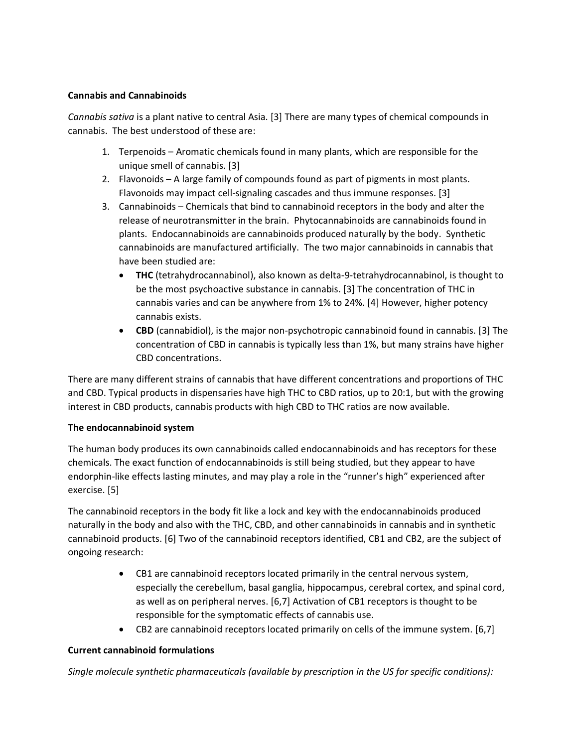## **Cannabis and Cannabinoids**

*Cannabis sativa* is a plant native to central Asia. [3] There are many types of chemical compounds in cannabis. The best understood of these are:

- 1. Terpenoids Aromatic chemicals found in many plants, which are responsible for the unique smell of cannabis. [3]
- 2. Flavonoids A large family of compounds found as part of pigments in most plants. Flavonoids may impact cell-signaling cascades and thus immune responses. [3]
- 3. Cannabinoids Chemicals that bind to cannabinoid receptors in the body and alter the release of neurotransmitter in the brain. Phytocannabinoids are cannabinoids found in plants. Endocannabinoids are cannabinoids produced naturally by the body. Synthetic cannabinoids are manufactured artificially. The two major cannabinoids in cannabis that have been studied are:
	- **THC** (tetrahydrocannabinol), also known as delta-9-tetrahydrocannabinol, is thought to be the most psychoactive substance in cannabis. [3] The concentration of THC in cannabis varies and can be anywhere from 1% to 24%. [4] However, higher potency cannabis exists.
	- **CBD** (cannabidiol), is the major non-psychotropic cannabinoid found in cannabis. [3] The concentration of CBD in cannabis is typically less than 1%, but many strains have higher CBD concentrations.

There are many different strains of cannabis that have different concentrations and proportions of THC and CBD. Typical products in dispensaries have high THC to CBD ratios, up to 20:1, but with the growing interest in CBD products, cannabis products with high CBD to THC ratios are now available.

# **The endocannabinoid system**

The human body produces its own cannabinoids called endocannabinoids and has receptors for these chemicals. The exact function of endocannabinoids is still being studied, but they appear to have endorphin-like effects lasting minutes, and may play a role in the "runner's high" experienced after exercise. [5]

The cannabinoid receptors in the body fit like a lock and key with the endocannabinoids produced naturally in the body and also with the THC, CBD, and other cannabinoids in cannabis and in synthetic cannabinoid products. [6] Two of the cannabinoid receptors identified, CB1 and CB2, are the subject of ongoing research:

- CB1 are cannabinoid receptors located primarily in the central nervous system, especially the cerebellum, basal ganglia, hippocampus, cerebral cortex, and spinal cord, as well as on peripheral nerves. [6,7] Activation of CB1 receptors is thought to be responsible for the symptomatic effects of cannabis use.
- CB2 are cannabinoid receptors located primarily on cells of the immune system. [6,7]

### **Current cannabinoid formulations**

*Single molecule synthetic pharmaceuticals (available by prescription in the US for specific conditions):*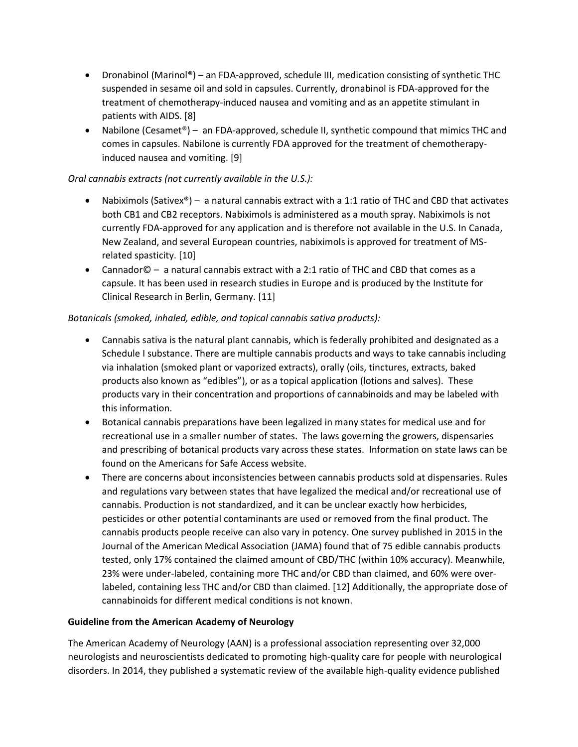- Dronabinol (Marinol®) an FDA-approved, schedule III, medication consisting of synthetic THC suspended in sesame oil and sold in capsules. Currently, dronabinol is FDA-approved for the treatment of chemotherapy-induced nausea and vomiting and as an appetite stimulant in patients with AIDS. [8]
- Nabilone (Cesamet<sup>®</sup>) an FDA-approved, schedule II, synthetic compound that mimics THC and comes in capsules. Nabilone is currently FDA approved for the treatment of chemotherapyinduced nausea and vomiting. [9]

# *Oral cannabis extracts (not currently available in the U.S.):*

- Nabiximols (Sativex®) a natural cannabis extract with a 1:1 ratio of THC and CBD that activates both CB1 and CB2 receptors. Nabiximols is administered as a mouth spray. Nabiximols is not currently FDA-approved for any application and is therefore not available in the U.S. In Canada, New Zealand, and several European countries, nabiximols is approved for treatment of MSrelated spasticity. [10]
- Cannador© a natural cannabis extract with a 2:1 ratio of THC and CBD that comes as a capsule. It has been used in research studies in Europe and is produced by the Institute for Clinical Research in Berlin, Germany. [11]

### *Botanicals (smoked, inhaled, edible, and topical cannabis sativa products):*

- Cannabis sativa is the natural plant cannabis, which is federally prohibited and designated as a Schedule I substance. There are multiple cannabis products and ways to take cannabis including via inhalation (smoked plant or vaporized extracts), orally (oils, tinctures, extracts, baked products also known as "edibles"), or as a topical application (lotions and salves). These products vary in their concentration and proportions of cannabinoids and may be labeled with this information.
- Botanical cannabis preparations have been legalized in many states for medical use and for recreational use in a smaller number of states. The laws governing the growers, dispensaries and prescribing of botanical products vary across these states. Information on state laws can be found on the Americans for Safe Access website.
- There are concerns about inconsistencies between cannabis products sold at dispensaries. Rules and regulations vary between states that have legalized the medical and/or recreational use of cannabis. Production is not standardized, and it can be unclear exactly how herbicides, pesticides or other potential contaminants are used or removed from the final product. The cannabis products people receive can also vary in potency. One survey published in 2015 in the Journal of the American Medical Association (JAMA) found that of 75 edible cannabis products tested, only 17% contained the claimed amount of CBD/THC (within 10% accuracy). Meanwhile, 23% were under-labeled, containing more THC and/or CBD than claimed, and 60% were overlabeled, containing less THC and/or CBD than claimed. [12] Additionally, the appropriate dose of cannabinoids for different medical conditions is not known.

### **Guideline from the American Academy of Neurology**

The American Academy of Neurology (AAN) is a professional association representing over 32,000 neurologists and neuroscientists dedicated to promoting high-quality care for people with neurological disorders. In 2014, they published a systematic review of the available high-quality evidence published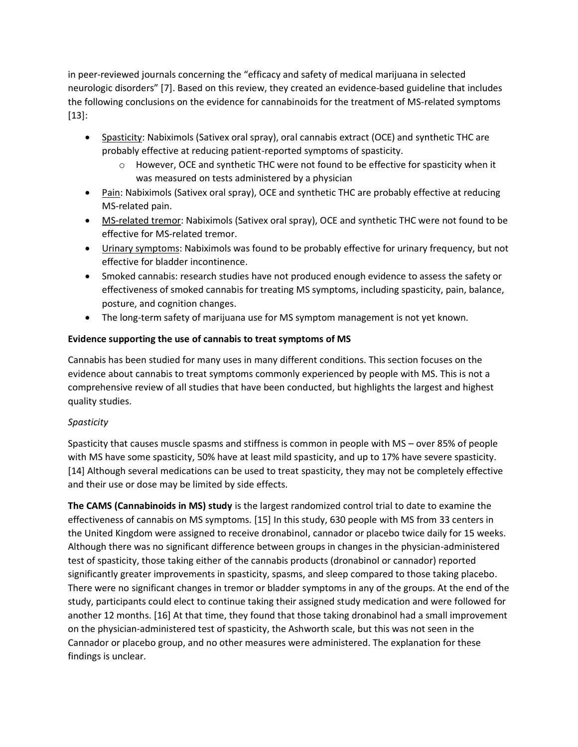in peer-reviewed journals concerning the "efficacy and safety of medical marijuana in selected neurologic disorders" [7]. Based on this review, they created an evidence-based guideline that includes the following conclusions on the evidence for cannabinoids for the treatment of MS-related symptoms [13]:

- Spasticity: Nabiximols (Sativex oral spray), oral cannabis extract (OCE) and synthetic THC are probably effective at reducing patient-reported symptoms of spasticity.
	- $\circ$  However, OCE and synthetic THC were not found to be effective for spasticity when it was measured on tests administered by a physician
- Pain: Nabiximols (Sativex oral spray), OCE and synthetic THC are probably effective at reducing MS-related pain.
- MS-related tremor: Nabiximols (Sativex oral spray), OCE and synthetic THC were not found to be effective for MS-related tremor.
- Urinary symptoms: Nabiximols was found to be probably effective for urinary frequency, but not effective for bladder incontinence.
- Smoked cannabis: research studies have not produced enough evidence to assess the safety or effectiveness of smoked cannabis for treating MS symptoms, including spasticity, pain, balance, posture, and cognition changes.
- The long-term safety of marijuana use for MS symptom management is not yet known.

# **Evidence supporting the use of cannabis to treat symptoms of MS**

Cannabis has been studied for many uses in many different conditions. This section focuses on the evidence about cannabis to treat symptoms commonly experienced by people with MS. This is not a comprehensive review of all studies that have been conducted, but highlights the largest and highest quality studies.

# *Spasticity*

Spasticity that causes muscle spasms and stiffness is common in people with MS – over 85% of people with MS have some spasticity, 50% have at least mild spasticity, and up to 17% have severe spasticity. [14] Although several medications can be used to treat spasticity, they may not be completely effective and their use or dose may be limited by side effects.

**The CAMS (Cannabinoids in MS) study** is the largest randomized control trial to date to examine the effectiveness of cannabis on MS symptoms. [15] In this study, 630 people with MS from 33 centers in the United Kingdom were assigned to receive dronabinol, cannador or placebo twice daily for 15 weeks. Although there was no significant difference between groups in changes in the physician-administered test of spasticity, those taking either of the cannabis products (dronabinol or cannador) reported significantly greater improvements in spasticity, spasms, and sleep compared to those taking placebo. There were no significant changes in tremor or bladder symptoms in any of the groups. At the end of the study, participants could elect to continue taking their assigned study medication and were followed for another 12 months. [16] At that time, they found that those taking dronabinol had a small improvement on the physician-administered test of spasticity, the Ashworth scale, but this was not seen in the Cannador or placebo group, and no other measures were administered. The explanation for these findings is unclear.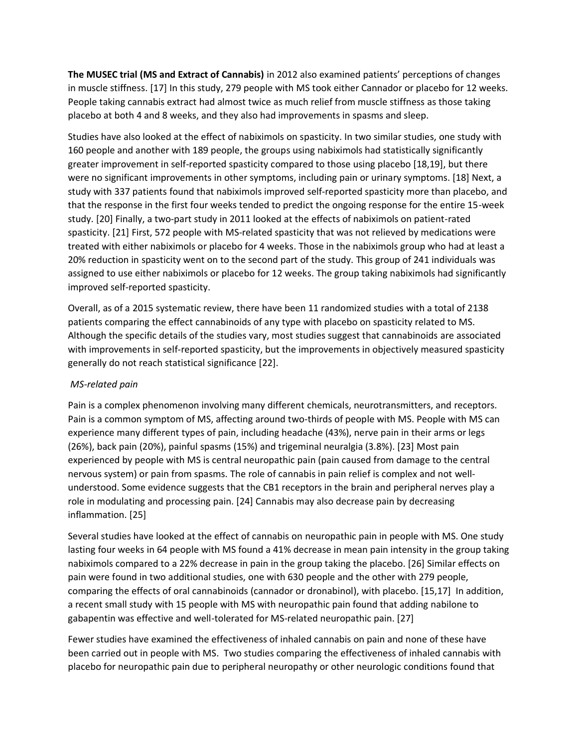**The MUSEC trial (MS and Extract of Cannabis)** in 2012 also examined patients' perceptions of changes in muscle stiffness. [17] In this study, 279 people with MS took either Cannador or placebo for 12 weeks. People taking cannabis extract had almost twice as much relief from muscle stiffness as those taking placebo at both 4 and 8 weeks, and they also had improvements in spasms and sleep.

Studies have also looked at the effect of nabiximols on spasticity. In two similar studies, one study with 160 people and another with 189 people, the groups using nabiximols had statistically significantly greater improvement in self-reported spasticity compared to those using placebo [18,19], but there were no significant improvements in other symptoms, including pain or urinary symptoms. [18] Next, a study with 337 patients found that nabiximols improved self-reported spasticity more than placebo, and that the response in the first four weeks tended to predict the ongoing response for the entire 15-week study. [20] Finally, a two-part study in 2011 looked at the effects of nabiximols on patient-rated spasticity. [21] First, 572 people with MS-related spasticity that was not relieved by medications were treated with either nabiximols or placebo for 4 weeks. Those in the nabiximols group who had at least a 20% reduction in spasticity went on to the second part of the study. This group of 241 individuals was assigned to use either nabiximols or placebo for 12 weeks. The group taking nabiximols had significantly improved self-reported spasticity.

Overall, as of a 2015 systematic review, there have been 11 randomized studies with a total of 2138 patients comparing the effect cannabinoids of any type with placebo on spasticity related to MS. Although the specific details of the studies vary, most studies suggest that cannabinoids are associated with improvements in self-reported spasticity, but the improvements in objectively measured spasticity generally do not reach statistical significance [22].

# *MS-related pain*

Pain is a complex phenomenon involving many different chemicals, neurotransmitters, and receptors. Pain is a common symptom of MS, affecting around two-thirds of people with MS. People with MS can experience many different types of pain, including headache (43%), nerve pain in their arms or legs (26%), back pain (20%), painful spasms (15%) and trigeminal neuralgia (3.8%). [23] Most pain experienced by people with MS is central neuropathic pain (pain caused from damage to the central nervous system) or pain from spasms. The role of cannabis in pain relief is complex and not wellunderstood. Some evidence suggests that the CB1 receptors in the brain and peripheral nerves play a role in modulating and processing pain. [24] Cannabis may also decrease pain by decreasing inflammation. [25]

Several studies have looked at the effect of cannabis on neuropathic pain in people with MS. One study lasting four weeks in 64 people with MS found a 41% decrease in mean pain intensity in the group taking nabiximols compared to a 22% decrease in pain in the group taking the placebo. [26] Similar effects on pain were found in two additional studies, one with 630 people and the other with 279 people, comparing the effects of oral cannabinoids (cannador or dronabinol), with placebo. [15,17] In addition, a recent small study with 15 people with MS with neuropathic pain found that adding nabilone to gabapentin was effective and well-tolerated for MS-related neuropathic pain. [27]

Fewer studies have examined the effectiveness of inhaled cannabis on pain and none of these have been carried out in people with MS. Two studies comparing the effectiveness of inhaled cannabis with placebo for neuropathic pain due to peripheral neuropathy or other neurologic conditions found that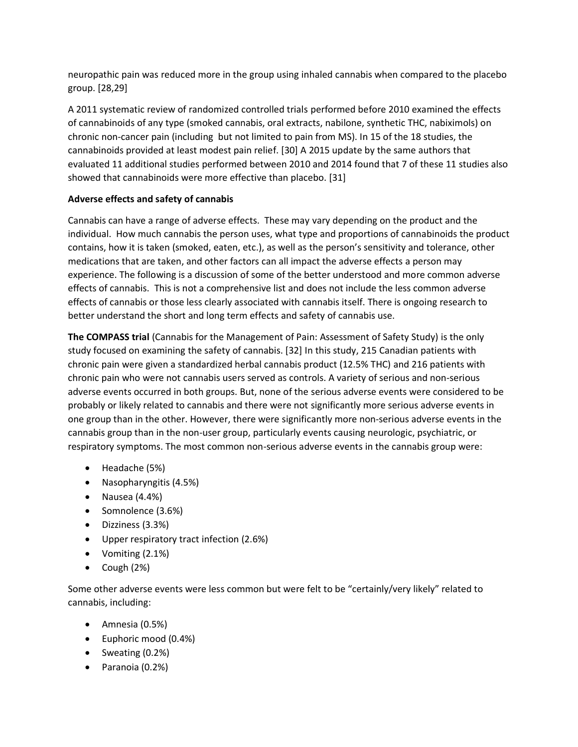neuropathic pain was reduced more in the group using inhaled cannabis when compared to the placebo group. [28,29]

A 2011 systematic review of randomized controlled trials performed before 2010 examined the effects of cannabinoids of any type (smoked cannabis, oral extracts, nabilone, synthetic THC, nabiximols) on chronic non-cancer pain (including but not limited to pain from MS). In 15 of the 18 studies, the cannabinoids provided at least modest pain relief. [30] A 2015 update by the same authors that evaluated 11 additional studies performed between 2010 and 2014 found that 7 of these 11 studies also showed that cannabinoids were more effective than placebo. [31]

### **Adverse effects and safety of cannabis**

Cannabis can have a range of adverse effects. These may vary depending on the product and the individual. How much cannabis the person uses, what type and proportions of cannabinoids the product contains, how it is taken (smoked, eaten, etc.), as well as the person's sensitivity and tolerance, other medications that are taken, and other factors can all impact the adverse effects a person may experience. The following is a discussion of some of the better understood and more common adverse effects of cannabis. This is not a comprehensive list and does not include the less common adverse effects of cannabis or those less clearly associated with cannabis itself. There is ongoing research to better understand the short and long term effects and safety of cannabis use.

**The COMPASS trial** (Cannabis for the Management of Pain: Assessment of Safety Study) is the only study focused on examining the safety of cannabis. [32] In this study, 215 Canadian patients with chronic pain were given a standardized herbal cannabis product (12.5% THC) and 216 patients with chronic pain who were not cannabis users served as controls. A variety of serious and non-serious adverse events occurred in both groups. But, none of the serious adverse events were considered to be probably or likely related to cannabis and there were not significantly more serious adverse events in one group than in the other. However, there were significantly more non-serious adverse events in the cannabis group than in the non-user group, particularly events causing neurologic, psychiatric, or respiratory symptoms. The most common non-serious adverse events in the cannabis group were:

- Headache (5%)
- Nasopharyngitis (4.5%)
- Nausea (4.4%)
- Somnolence (3.6%)
- Dizziness (3.3%)
- Upper respiratory tract infection (2.6%)
- Vomiting (2.1%)
- Cough (2%)

Some other adverse events were less common but were felt to be "certainly/very likely" related to cannabis, including:

- Amnesia (0.5%)
- Euphoric mood (0.4%)
- Sweating (0.2%)
- Paranoia (0.2%)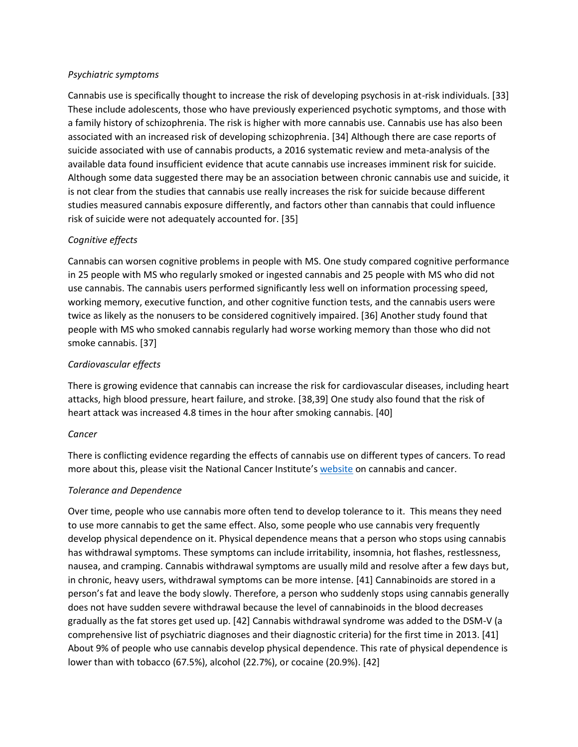#### *Psychiatric symptoms*

Cannabis use is specifically thought to increase the risk of developing psychosis in at-risk individuals. [33] These include adolescents, those who have previously experienced psychotic symptoms, and those with a family history of schizophrenia. The risk is higher with more cannabis use. Cannabis use has also been associated with an increased risk of developing schizophrenia. [34] Although there are case reports of suicide associated with use of cannabis products, a 2016 systematic review and meta-analysis of the available data found insufficient evidence that acute cannabis use increases imminent risk for suicide. Although some data suggested there may be an association between chronic cannabis use and suicide, it is not clear from the studies that cannabis use really increases the risk for suicide because different studies measured cannabis exposure differently, and factors other than cannabis that could influence risk of suicide were not adequately accounted for. [35]

### *Cognitive effects*

Cannabis can worsen cognitive problems in people with MS. One study compared cognitive performance in 25 people with MS who regularly smoked or ingested cannabis and 25 people with MS who did not use cannabis. The cannabis users performed significantly less well on information processing speed, working memory, executive function, and other cognitive function tests, and the cannabis users were twice as likely as the nonusers to be considered cognitively impaired. [36] Another study found that people with MS who smoked cannabis regularly had worse working memory than those who did not smoke cannabis. [37]

### *Cardiovascular effects*

There is growing evidence that cannabis can increase the risk for cardiovascular diseases, including heart attacks, high blood pressure, heart failure, and stroke. [38,39] One study also found that the risk of heart attack was increased 4.8 times in the hour after smoking cannabis. [40]

### *Cancer*

There is conflicting evidence regarding the effects of cannabis use on different types of cancers. To read more about this, please visit the National Cancer Institute's [website](https://www.cancer.gov/about-cancer/treatment/cam/hp/cannabis-pdq#link/_105_toc) on cannabis and cancer.

### *Tolerance and Dependence*

Over time, people who use cannabis more often tend to develop tolerance to it. This means they need to use more cannabis to get the same effect. Also, some people who use cannabis very frequently develop physical dependence on it. Physical dependence means that a person who stops using cannabis has withdrawal symptoms. These symptoms can include irritability, insomnia, hot flashes, restlessness, nausea, and cramping. Cannabis withdrawal symptoms are usually mild and resolve after a few days but, in chronic, heavy users, withdrawal symptoms can be more intense. [41] Cannabinoids are stored in a person's fat and leave the body slowly. Therefore, a person who suddenly stops using cannabis generally does not have sudden severe withdrawal because the level of cannabinoids in the blood decreases gradually as the fat stores get used up. [42] Cannabis withdrawal syndrome was added to the DSM-V (a comprehensive list of psychiatric diagnoses and their diagnostic criteria) for the first time in 2013. [41] About 9% of people who use cannabis develop physical dependence. This rate of physical dependence is lower than with tobacco (67.5%), alcohol (22.7%), or cocaine (20.9%). [42]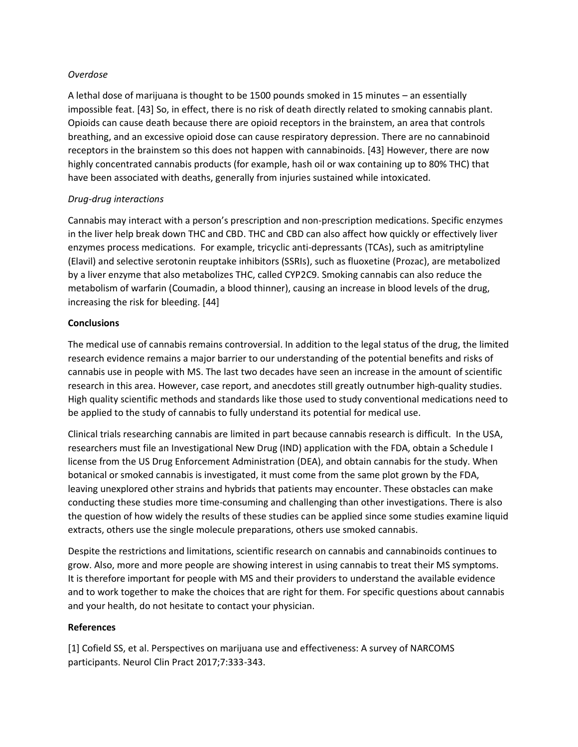#### *Overdose*

A lethal dose of marijuana is thought to be 1500 pounds smoked in 15 minutes – an essentially impossible feat. [43] So, in effect, there is no risk of death directly related to smoking cannabis plant. Opioids can cause death because there are opioid receptors in the brainstem, an area that controls breathing, and an excessive opioid dose can cause respiratory depression. There are no cannabinoid receptors in the brainstem so this does not happen with cannabinoids. [43] However, there are now highly concentrated cannabis products (for example, hash oil or wax containing up to 80% THC) that have been associated with deaths, generally from injuries sustained while intoxicated.

### *Drug-drug interactions*

Cannabis may interact with a person's prescription and non-prescription medications. Specific enzymes in the liver help break down THC and CBD. THC and CBD can also affect how quickly or effectively liver enzymes process medications. For example, tricyclic anti-depressants (TCAs), such as amitriptyline (Elavil) and selective serotonin reuptake inhibitors (SSRIs), such as fluoxetine (Prozac), are metabolized by a liver enzyme that also metabolizes THC, called CYP2C9. Smoking cannabis can also reduce the metabolism of warfarin (Coumadin, a blood thinner), causing an increase in blood levels of the drug, increasing the risk for bleeding. [44]

### **Conclusions**

The medical use of cannabis remains controversial. In addition to the legal status of the drug, the limited research evidence remains a major barrier to our understanding of the potential benefits and risks of cannabis use in people with MS. The last two decades have seen an increase in the amount of scientific research in this area. However, case report, and anecdotes still greatly outnumber high-quality studies. High quality scientific methods and standards like those used to study conventional medications need to be applied to the study of cannabis to fully understand its potential for medical use.

Clinical trials researching cannabis are limited in part because cannabis research is difficult. In the USA, researchers must file an Investigational New Drug (IND) application with the FDA, obtain a Schedule I license from the US Drug Enforcement Administration (DEA), and obtain cannabis for the study. When botanical or smoked cannabis is investigated, it must come from the same plot grown by the FDA, leaving unexplored other strains and hybrids that patients may encounter. These obstacles can make conducting these studies more time-consuming and challenging than other investigations. There is also the question of how widely the results of these studies can be applied since some studies examine liquid extracts, others use the single molecule preparations, others use smoked cannabis.

Despite the restrictions and limitations, scientific research on cannabis and cannabinoids continues to grow. Also, more and more people are showing interest in using cannabis to treat their MS symptoms. It is therefore important for people with MS and their providers to understand the available evidence and to work together to make the choices that are right for them. For specific questions about cannabis and your health, do not hesitate to contact your physician.

### **References**

[1] Cofield SS, et al. Perspectives on marijuana use and effectiveness: A survey of NARCOMS participants. Neurol Clin Pract 2017;7:333-343.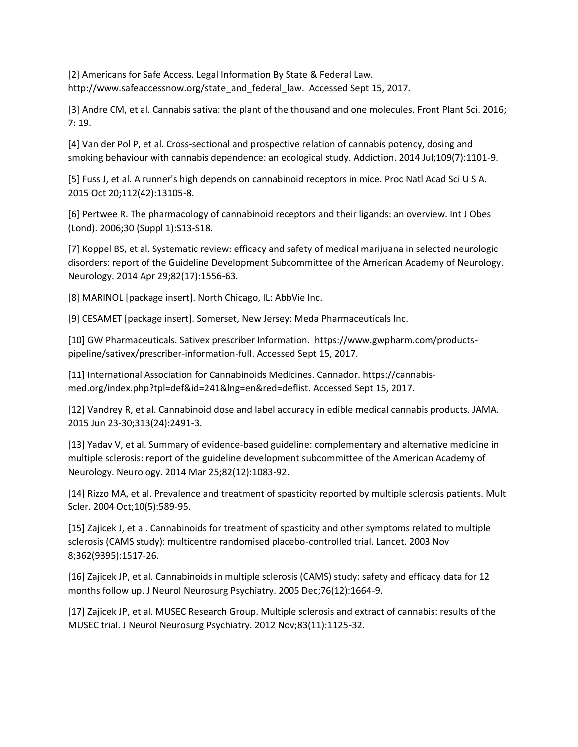[2] Americans for Safe Access. Legal Information By State & Federal Law. http://www.safeaccessnow.org/state\_and\_federal\_law. Accessed Sept 15, 2017.

[3] Andre CM, et al. Cannabis sativa: the plant of the thousand and one molecules. Front Plant Sci. 2016; 7: 19.

[4] Van der Pol P, et al. Cross-sectional and prospective relation of cannabis potency, dosing and smoking behaviour with cannabis dependence: an ecological study. Addiction. 2014 Jul;109(7):1101-9.

[5] Fuss J, et al. A runner's high depends on cannabinoid receptors in mice. Proc Natl Acad Sci U S A. 2015 Oct 20;112(42):13105-8.

[6] Pertwee R. The pharmacology of cannabinoid receptors and their ligands: an overview. Int J Obes (Lond). 2006;30 (Suppl 1):S13-S18.

[7] Koppel BS, et al. Systematic review: efficacy and safety of medical marijuana in selected neurologic disorders: report of the Guideline Development Subcommittee of the American Academy of Neurology. Neurology. 2014 Apr 29;82(17):1556-63.

[8] MARINOL [package insert]. North Chicago, IL: AbbVie Inc.

[9] CESAMET [package insert]. Somerset, New Jersey: Meda Pharmaceuticals Inc.

[10] GW Pharmaceuticals. Sativex prescriber Information. https://www.gwpharm.com/productspipeline/sativex/prescriber-information-full. Accessed Sept 15, 2017.

[11] International Association for Cannabinoids Medicines. Cannador. https://cannabismed.org/index.php?tpl=def&id=241&lng=en&red=deflist. Accessed Sept 15, 2017.

[12] Vandrey R, et al. Cannabinoid dose and label accuracy in edible medical cannabis products. JAMA. 2015 Jun 23-30;313(24):2491-3.

[13] Yadav V, et al. Summary of evidence-based guideline: complementary and alternative medicine in multiple sclerosis: report of the guideline development subcommittee of the American Academy of Neurology. Neurology. 2014 Mar 25;82(12):1083-92.

[14] Rizzo MA, et al. Prevalence and treatment of spasticity reported by multiple sclerosis patients. Mult Scler. 2004 Oct;10(5):589-95.

[15] Zajicek J, et al. Cannabinoids for treatment of spasticity and other symptoms related to multiple sclerosis (CAMS study): multicentre randomised placebo-controlled trial. Lancet. 2003 Nov 8;362(9395):1517-26.

[16] Zajicek JP, et al. Cannabinoids in multiple sclerosis (CAMS) study: safety and efficacy data for 12 months follow up. J Neurol Neurosurg Psychiatry. 2005 Dec;76(12):1664-9.

[17] Zajicek JP, et al. MUSEC Research Group. Multiple sclerosis and extract of cannabis: results of the MUSEC trial. J Neurol Neurosurg Psychiatry. 2012 Nov;83(11):1125-32.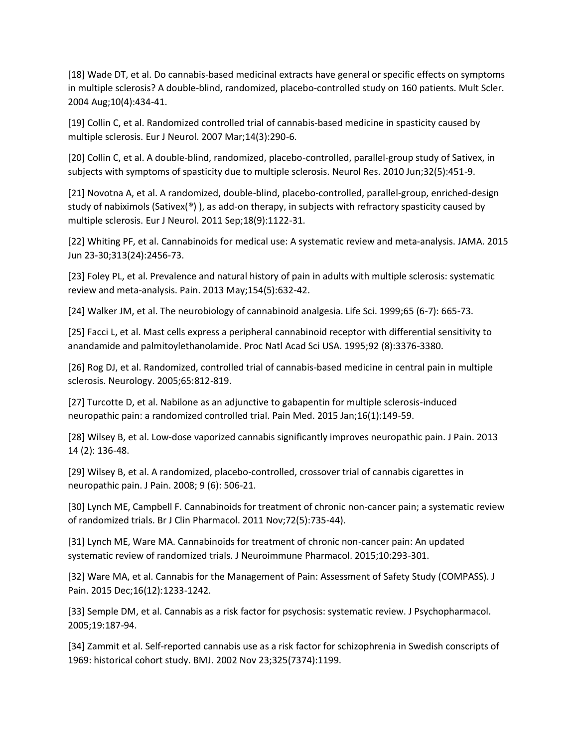[18] Wade DT, et al. Do cannabis-based medicinal extracts have general or specific effects on symptoms in multiple sclerosis? A double-blind, randomized, placebo-controlled study on 160 patients. Mult Scler. 2004 Aug;10(4):434-41.

[19] Collin C, et al. Randomized controlled trial of cannabis-based medicine in spasticity caused by multiple sclerosis. Eur J Neurol. 2007 Mar;14(3):290-6.

[20] Collin C, et al. A double-blind, randomized, placebo-controlled, parallel-group study of Sativex, in subjects with symptoms of spasticity due to multiple sclerosis. Neurol Res. 2010 Jun;32(5):451-9.

[21] Novotna A, et al. A randomized, double-blind, placebo-controlled, parallel-group, enriched-design study of nabiximols (Sativex( $\degree$ ), as add-on therapy, in subjects with refractory spasticity caused by multiple sclerosis. Eur J Neurol. 2011 Sep;18(9):1122-31.

[22] Whiting PF, et al. Cannabinoids for medical use: A systematic review and meta-analysis. JAMA. 2015 Jun 23-30;313(24):2456-73.

[23] Foley PL, et al. Prevalence and natural history of pain in adults with multiple sclerosis: systematic review and meta-analysis. Pain. 2013 May;154(5):632-42.

[24] Walker JM, et al. The neurobiology of cannabinoid analgesia. Life Sci. 1999;65 (6-7): 665-73.

[25] Facci L, et al. Mast cells express a peripheral cannabinoid receptor with differential sensitivity to anandamide and palmitoylethanolamide. Proc Natl Acad Sci USA. 1995;92 (8):3376-3380.

[26] Rog DJ, et al. Randomized, controlled trial of cannabis-based medicine in central pain in multiple sclerosis. Neurology. 2005;65:812-819.

[27] Turcotte D, et al. Nabilone as an adjunctive to gabapentin for multiple sclerosis-induced neuropathic pain: a randomized controlled trial. Pain Med. 2015 Jan;16(1):149-59.

[28] Wilsey B, et al. Low-dose vaporized cannabis significantly improves neuropathic pain. J Pain. 2013 14 (2): 136-48.

[29] Wilsey B, et al. A randomized, placebo-controlled, crossover trial of cannabis cigarettes in neuropathic pain. J Pain. 2008; 9 (6): 506-21.

[30] Lynch ME, Campbell F. Cannabinoids for treatment of chronic non-cancer pain; a systematic review of randomized trials. Br J Clin Pharmacol. 2011 Nov;72(5):735-44).

[31] Lynch ME, Ware MA. Cannabinoids for treatment of chronic non-cancer pain: An updated systematic review of randomized trials. J Neuroimmune Pharmacol. 2015;10:293-301.

[32] Ware MA, et al. Cannabis for the Management of Pain: Assessment of Safety Study (COMPASS). J Pain. 2015 Dec;16(12):1233-1242.

[33] Semple DM, et al. Cannabis as a risk factor for psychosis: systematic review. J Psychopharmacol. 2005;19:187-94.

[34] Zammit et al. Self-reported cannabis use as a risk factor for schizophrenia in Swedish conscripts of 1969: historical cohort study. BMJ. 2002 Nov 23;325(7374):1199.